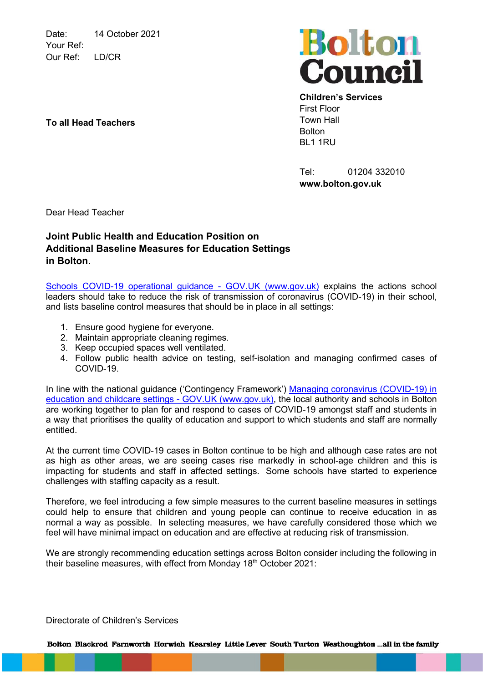Date: 14 October 2021 Your Ref: Our Ref: LD/CR



Children's Services First Floor Town Hall **Bolton** BL1 1RU

Tel: 01204 332010 www.bolton.gov.uk

Dear Head Teacher

## Joint Public Health and Education Position on Additional Baseline Measures for Education Settings in Bolton.

Schools COVID-19 operational guidance - GOV.UK (www.gov.uk) explains the actions school **leaders should take to reduce the risk of transmission of coronavirus (COVID-19) in their school,** and lists baseline control measures that should be in place in all settings:

- 1. Ensure good hygiene for everyone.
- 2. Maintain appropriate cleaning regimes.
- 3. Keep occupied spaces well ventilated.
- 4. Follow public health advice on testing, self-isolation and managing confirmed cases of COVID-19.

In line with the national guidance ('Contingency Framework') Managing coronavirus (COVID-19) in education and childcare settings - GOV.UK (www.gov.uk), the local authority and schools in Bolton are working together to plan for and respond to cases of COVID-19 amongst staff and students in a way that prioritises the quality of education and support to which students and staff are normally entitled.

At the current time COVID-19 cases in Bolton continue to be high and although case rates are not as high as other areas, we are seeing cases rise markedly in school-age children and this is impacting for students and staff in affected settings. Some schools have started to experience challenges with staffing capacity as a result.

Therefore, we feel introducing a few simple measures to the current baseline measures in settings could help to ensure that children and young people can continue to receive education in as normal a way as possible. In selecting measures, we have carefully considered those which we feel will have minimal impact on education and are effective at reducing risk of transmission.

We are strongly recommending education settings across Bolton consider including the following in their baseline measures, with effect from Monday 18<sup>th</sup> October 2021:

Directorate of Children's Services

Bolton Blackrod Farnworth Horwich Kearsley Little Lever South Turton Westhoughton ...all in the family

## To all Head Teachers